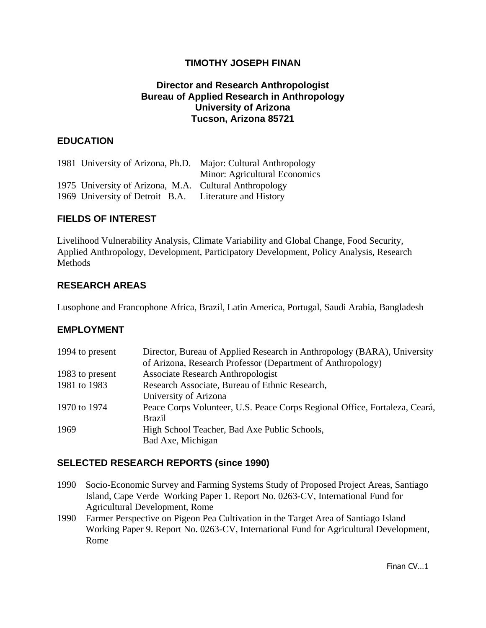#### **TIMOTHY JOSEPH FINAN**

### **Director and Research Anthropologist Bureau of Applied Research in Anthropology University of Arizona Tucson, Arizona 85721**

#### **EDUCATION**

|                                                        | 1981 University of Arizona, Ph.D. Major: Cultural Anthropology |
|--------------------------------------------------------|----------------------------------------------------------------|
|                                                        | Minor: Agricultural Economics                                  |
| 1975 University of Arizona, M.A. Cultural Anthropology |                                                                |
| 1969 University of Detroit B.A. Literature and History |                                                                |

### **FIELDS OF INTEREST**

Livelihood Vulnerability Analysis, Climate Variability and Global Change, Food Security, Applied Anthropology, Development, Participatory Development, Policy Analysis, Research **Methods** 

### **RESEARCH AREAS**

Lusophone and Francophone Africa, Brazil, Latin America, Portugal, Saudi Arabia, Bangladesh

#### **EMPLOYMENT**

| 1994 to present | Director, Bureau of Applied Research in Anthropology (BARA), University<br>of Arizona, Research Professor (Department of Anthropology) |
|-----------------|----------------------------------------------------------------------------------------------------------------------------------------|
| 1983 to present | <b>Associate Research Anthropologist</b>                                                                                               |
| 1981 to 1983    | Research Associate, Bureau of Ethnic Research,                                                                                         |
|                 | University of Arizona                                                                                                                  |
| 1970 to 1974    | Peace Corps Volunteer, U.S. Peace Corps Regional Office, Fortaleza, Ceará,                                                             |
|                 | <b>Brazil</b>                                                                                                                          |
| 1969            | High School Teacher, Bad Axe Public Schools,                                                                                           |
|                 | Bad Axe, Michigan                                                                                                                      |

## **SELECTED RESEARCH REPORTS (since 1990)**

- 1990 Socio-Economic Survey and Farming Systems Study of Proposed Project Areas, Santiago Island, Cape Verde Working Paper 1. Report No. 0263-CV, International Fund for Agricultural Development, Rome
- 1990 Farmer Perspective on Pigeon Pea Cultivation in the Target Area of Santiago Island Working Paper 9. Report No. 0263-CV, International Fund for Agricultural Development, Rome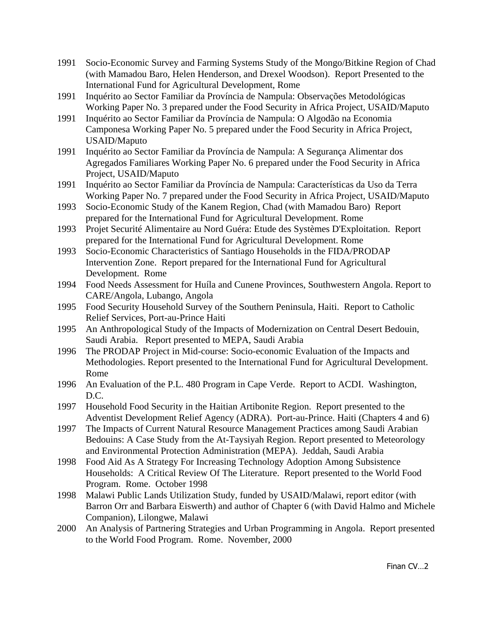- 1991 Socio-Economic Survey and Farming Systems Study of the Mongo/Bitkine Region of Chad (with Mamadou Baro, Helen Henderson, and Drexel Woodson). Report Presented to the International Fund for Agricultural Development, Rome
- 1991 Inquérito ao Sector Familiar da Província de Nampula: Observações Metodológicas Working Paper No. 3 prepared under the Food Security in Africa Project, USAID/Maputo
- 1991 Inquérito ao Sector Familiar da Província de Nampula: O Algodão na Economia Camponesa Working Paper No. 5 prepared under the Food Security in Africa Project, USAID/Maputo
- 1991 Inquérito ao Sector Familiar da Província de Nampula: A Segurança Alimentar dos Agregados Familiares Working Paper No. 6 prepared under the Food Security in Africa Project, USAID/Maputo
- 1991 Inquérito ao Sector Familiar da Província de Nampula: Características da Uso da Terra Working Paper No. 7 prepared under the Food Security in Africa Project, USAID/Maputo
- 1993 Socio-Economic Study of the Kanem Region, Chad (with Mamadou Baro) Report prepared for the International Fund for Agricultural Development. Rome
- 1993 Projet Securité Alimentaire au Nord Guéra: Etude des Systèmes D'Exploitation. Report prepared for the International Fund for Agricultural Development. Rome
- 1993 Socio-Economic Characteristics of Santiago Households in the FIDA/PRODAP Intervention Zone. Report prepared for the International Fund for Agricultural Development. Rome
- 1994 Food Needs Assessment for Huíla and Cunene Provinces, Southwestern Angola. Report to CARE/Angola, Lubango, Angola
- 1995 Food Security Household Survey of the Southern Peninsula, Haiti. Report to Catholic Relief Services, Port-au-Prince Haiti
- 1995 An Anthropological Study of the Impacts of Modernization on Central Desert Bedouin, Saudi Arabia. Report presented to MEPA, Saudi Arabia
- 1996 The PRODAP Project in Mid-course: Socio-economic Evaluation of the Impacts and Methodologies. Report presented to the International Fund for Agricultural Development. Rome
- 1996 An Evaluation of the P.L. 480 Program in Cape Verde. Report to ACDI. Washington, D.C.
- 1997 Household Food Security in the Haitian Artibonite Region. Report presented to the Adventist Development Relief Agency (ADRA). Port-au-Prince. Haiti (Chapters 4 and 6)
- 1997 The Impacts of Current Natural Resource Management Practices among Saudi Arabian Bedouins: A Case Study from the At-Taysiyah Region. Report presented to Meteorology and Environmental Protection Administration (MEPA). Jeddah, Saudi Arabia
- 1998 Food Aid As A Strategy For Increasing Technology Adoption Among Subsistence Households: A Critical Review Of The Literature. Report presented to the World Food Program. Rome. October 1998
- 1998 Malawi Public Lands Utilization Study, funded by USAID/Malawi, report editor (with Barron Orr and Barbara Eiswerth) and author of Chapter 6 (with David Halmo and Michele Companion), Lilongwe, Malawi
- 2000 An Analysis of Partnering Strategies and Urban Programming in Angola. Report presented to the World Food Program. Rome. November, 2000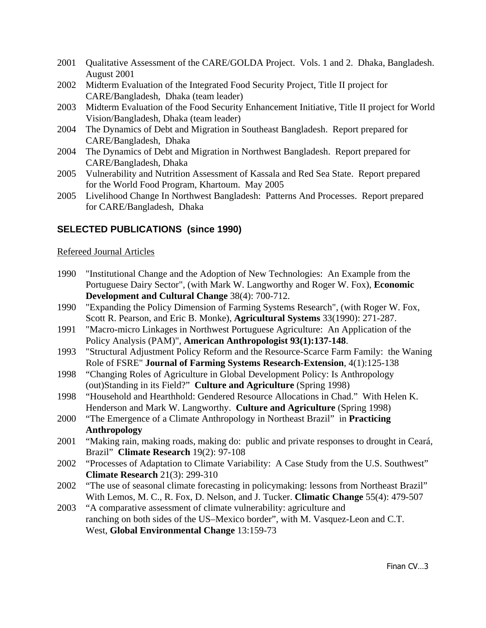- 2001 Qualitative Assessment of the CARE/GOLDA Project. Vols. 1 and 2. Dhaka, Bangladesh. August 2001
- 2002 Midterm Evaluation of the Integrated Food Security Project, Title II project for CARE/Bangladesh, Dhaka (team leader)
- 2003 Midterm Evaluation of the Food Security Enhancement Initiative, Title II project for World Vision/Bangladesh, Dhaka (team leader)
- 2004 The Dynamics of Debt and Migration in Southeast Bangladesh. Report prepared for CARE/Bangladesh, Dhaka
- 2004 The Dynamics of Debt and Migration in Northwest Bangladesh. Report prepared for CARE/Bangladesh, Dhaka
- 2005 Vulnerability and Nutrition Assessment of Kassala and Red Sea State. Report prepared for the World Food Program, Khartoum. May 2005
- 2005 Livelihood Change In Northwest Bangladesh: Patterns And Processes. Report prepared for CARE/Bangladesh, Dhaka

## **SELECTED PUBLICATIONS (since 1990)**

#### Refereed Journal Articles

- 1990 "Institutional Change and the Adoption of New Technologies: An Example from the Portuguese Dairy Sector", (with Mark W. Langworthy and Roger W. Fox), **Economic Development and Cultural Change** 38(4): 700-712.
- 1990 "Expanding the Policy Dimension of Farming Systems Research", (with Roger W. Fox, Scott R. Pearson, and Eric B. Monke), **Agricultural Systems** 33(1990): 271-287.
- 1991 "Macro-micro Linkages in Northwest Portuguese Agriculture: An Application of the Policy Analysis (PAM)", **American Anthropologist 93(1):137-148**.
- 1993 "Structural Adjustment Policy Reform and the Resource-Scarce Farm Family: the Waning Role of FSRE" **Journal of Farming Systems Research-Extension**, 4(1):125-138
- 1998 "Changing Roles of Agriculture in Global Development Policy: Is Anthropology (out)Standing in its Field?" **Culture and Agriculture** (Spring 1998)
- 1998 "Household and Hearthhold: Gendered Resource Allocations in Chad." With Helen K. Henderson and Mark W. Langworthy. **Culture and Agriculture** (Spring 1998)
- 2000 "The Emergence of a Climate Anthropology in Northeast Brazil" in **Practicing Anthropology**
- 2001 "Making rain, making roads, making do: public and private responses to drought in Ceará, Brazil" **Climate Research** 19(2): 97-108
- 2002 "Processes of Adaptation to Climate Variability: A Case Study from the U.S. Southwest"  **Climate Research** 21(3): 299-310
- 2002 "The use of seasonal climate forecasting in policymaking: lessons from Northeast Brazil" With Lemos, M. C., R. Fox, D. Nelson, and J. Tucker. **Climatic Change** 55(4): 479-507
- 2003 "A comparative assessment of climate vulnerability: agriculture and ranching on both sides of the US–Mexico border", with M. Vasquez-Leon and C.T. West, **Global Environmental Change** 13:159-73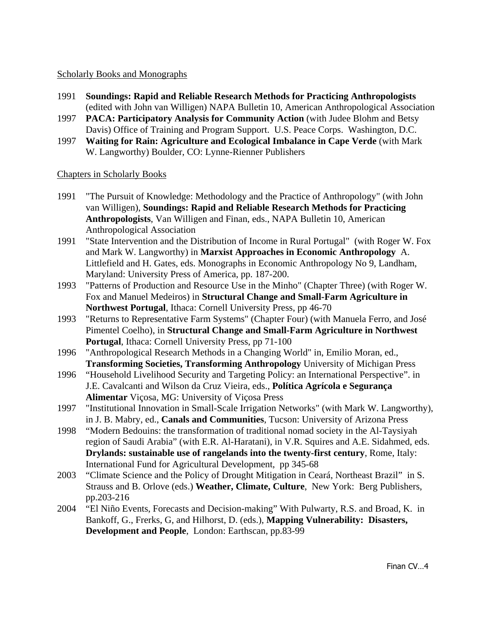#### Scholarly Books and Monographs

- 1991 **Soundings: Rapid and Reliable Research Methods for Practicing Anthropologists** (edited with John van Willigen) NAPA Bulletin 10, American Anthropological Association
- 1997 **PACA: Participatory Analysis for Community Action** (with Judee Blohm and Betsy Davis) Office of Training and Program Support. U.S. Peace Corps. Washington, D.C.
- 1997 **Waiting for Rain: Agriculture and Ecological Imbalance in Cape Verde** (with Mark W. Langworthy) Boulder, CO: Lynne-Rienner Publishers

#### Chapters in Scholarly Books

- 1991 "The Pursuit of Knowledge: Methodology and the Practice of Anthropology" (with John van Willigen), **Soundings: Rapid and Reliable Research Methods for Practicing Anthropologists**, Van Willigen and Finan, eds., NAPA Bulletin 10, American Anthropological Association
- 1991 "State Intervention and the Distribution of Income in Rural Portugal" (with Roger W. Fox and Mark W. Langworthy) in **Marxist Approaches in Economic Anthropology** A. Littlefield and H. Gates, eds. Monographs in Economic Anthropology No 9, Landham, Maryland: University Press of America, pp. 187-200.
- 1993 "Patterns of Production and Resource Use in the Minho" (Chapter Three) (with Roger W. Fox and Manuel Medeiros) in **Structural Change and Small-Farm Agriculture in Northwest Portugal**, Ithaca: Cornell University Press, pp 46-70
- 1993 "Returns to Representative Farm Systems" (Chapter Four) (with Manuela Ferro, and José Pimentel Coelho), in **Structural Change and Small-Farm Agriculture in Northwest Portugal**, Ithaca: Cornell University Press, pp 71-100
- 1996 "Anthropological Research Methods in a Changing World" in, Emilio Moran, ed., **Transforming Societies, Transforming Anthropology** University of Michigan Press
- 1996 "Household Livelihood Security and Targeting Policy: an International Perspective". in J.E. Cavalcanti and Wilson da Cruz Vieira, eds., **Política Agrícola e Segurança Alimentar** Viçosa, MG: University of Viçosa Press
- 1997 "Institutional Innovation in Small-Scale Irrigation Networks" (with Mark W. Langworthy), in J. B. Mabry, ed., **Canals and Communities**, Tucson: University of Arizona Press
- 1998 "Modern Bedouins: the transformation of traditional nomad society in the Al-Taysiyah region of Saudi Arabia" (with E.R. Al-Haratani), in V.R. Squires and A.E. Sidahmed, eds. **Drylands: sustainable use of rangelands into the twenty-first century**, Rome, Italy: International Fund for Agricultural Development, pp 345-68
- 2003 "Climate Science and the Policy of Drought Mitigation in Ceará, Northeast Brazil" in S. Strauss and B. Orlove (eds.) **Weather, Climate, Culture**, New York: Berg Publishers, pp.203-216
- 2004 "El Niño Events, Forecasts and Decision-making" With Pulwarty, R.S. and Broad, K. in Bankoff, G., Frerks, G, and Hilhorst, D. (eds.), **Mapping Vulnerability: Disasters, Development and People**, London: Earthscan, pp.83-99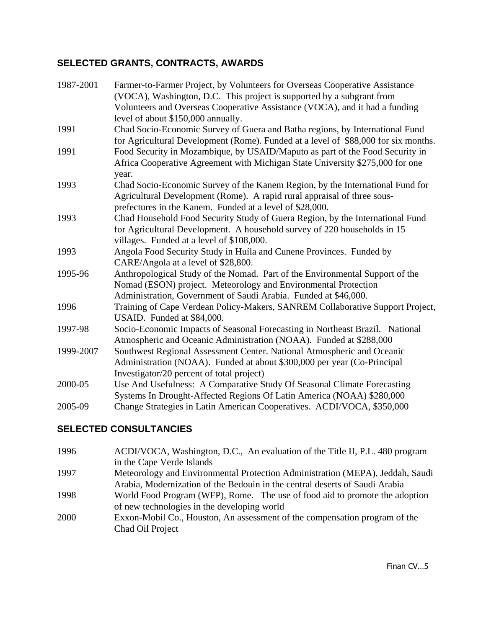# **SELECTED GRANTS, CONTRACTS, AWARDS**

| 1987-2001 | Farmer-to-Farmer Project, by Volunteers for Overseas Cooperative Assistance        |
|-----------|------------------------------------------------------------------------------------|
|           | (VOCA), Washington, D.C. This project is supported by a subgrant from              |
|           | Volunteers and Overseas Cooperative Assistance (VOCA), and it had a funding        |
|           | level of about \$150,000 annually.                                                 |
| 1991      | Chad Socio-Economic Survey of Guera and Batha regions, by International Fund       |
|           | for Agricultural Development (Rome). Funded at a level of \$88,000 for six months. |
| 1991      | Food Security in Mozambique, by USAID/Maputo as part of the Food Security in       |
|           | Africa Cooperative Agreement with Michigan State University \$275,000 for one      |
|           | year.                                                                              |
| 1993      | Chad Socio-Economic Survey of the Kanem Region, by the International Fund for      |
|           | Agricultural Development (Rome). A rapid rural appraisal of three sous-            |
|           | prefectures in the Kanem. Funded at a level of \$28,000.                           |
| 1993      | Chad Household Food Security Study of Guera Region, by the International Fund      |
|           | for Agricultural Development. A household survey of 220 households in 15           |
|           | villages. Funded at a level of \$108,000.                                          |
| 1993      | Angola Food Security Study in Huíla and Cunene Provinces. Funded by                |
|           | CARE/Angola at a level of \$28,800.                                                |
| 1995-96   | Anthropological Study of the Nomad. Part of the Environmental Support of the       |
|           | Nomad (ESON) project. Meteorology and Environmental Protection                     |
|           | Administration, Government of Saudi Arabia. Funded at \$46,000.                    |
| 1996      | Training of Cape Verdean Policy-Makers, SANREM Collaborative Support Project,      |
|           | USAID. Funded at \$84,000.                                                         |
| 1997-98   | Socio-Economic Impacts of Seasonal Forecasting in Northeast Brazil. National       |
|           | Atmospheric and Oceanic Administration (NOAA). Funded at \$288,000                 |
| 1999-2007 | Southwest Regional Assessment Center. National Atmospheric and Oceanic             |
|           | Administration (NOAA). Funded at about \$300,000 per year (Co-Principal            |
|           | Investigator/20 percent of total project)                                          |
| 2000-05   | Use And Usefulness: A Comparative Study Of Seasonal Climate Forecasting            |
|           | Systems In Drought-Affected Regions Of Latin America (NOAA) \$280,000              |
| 2005-09   | Change Strategies in Latin American Cooperatives. ACDI/VOCA, \$350,000             |

## **SELECTED CONSULTANCIES**

| 1996 | ACDI/VOCA, Washington, D.C., An evaluation of the Title II, P.L. 480 program  |
|------|-------------------------------------------------------------------------------|
|      | in the Cape Verde Islands                                                     |
| 1997 | Meteorology and Environmental Protection Administration (MEPA), Jeddah, Saudi |
|      | Arabia, Modernization of the Bedouin in the central deserts of Saudi Arabia   |
| 1998 | World Food Program (WFP), Rome. The use of food aid to promote the adoption   |
|      | of new technologies in the developing world                                   |
| 2000 | Exxon-Mobil Co., Houston, An assessment of the compensation program of the    |
|      | Chad Oil Project                                                              |